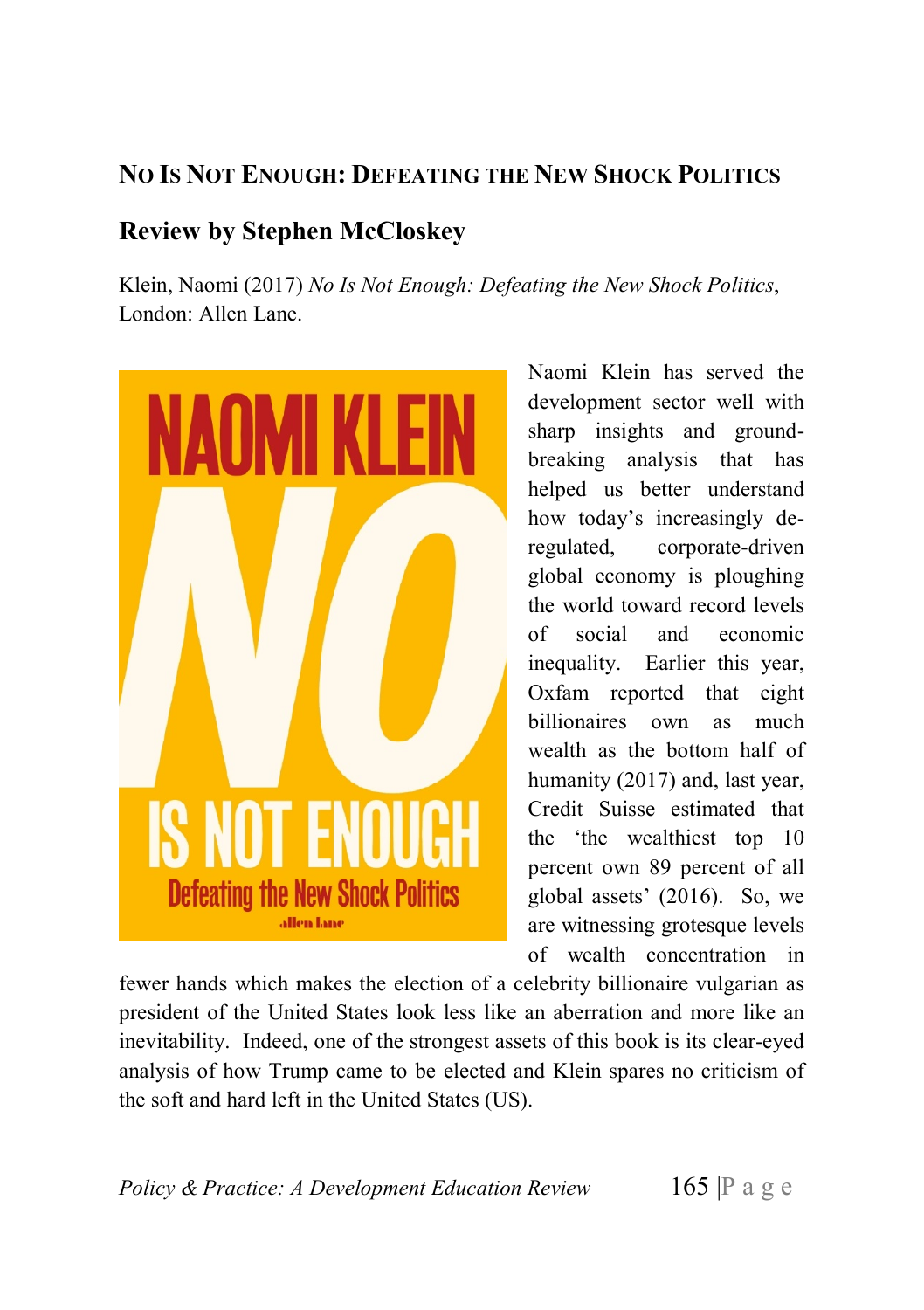# NO IS NOT ENOUGH: DEFEATING THE NEW SHOCK POLITICS

# Review by Stephen McCloskey

Klein, Naomi (2017) No Is Not Enough: Defeating the New Shock Politics, London: Allen Lane.



Naomi Klein has served the development sector well with sharp insights and groundbreaking analysis that has helped us better understand how today's increasingly deregulated, corporate-driven global economy is ploughing the world toward record levels of social and economic inequality. Earlier this year, Oxfam reported that eight billionaires own as much wealth as the bottom half of humanity (2017) and, last year, Credit Suisse estimated that the 'the wealthiest top 10 percent own 89 percent of all global assets' (2016). So, we are witnessing grotesque levels of wealth concentration in

fewer hands which makes the election of a celebrity billionaire vulgarian as president of the United States look less like an aberration and more like an inevitability. Indeed, one of the strongest assets of this book is its clear-eyed analysis of how Trump came to be elected and Klein spares no criticism of the soft and hard left in the United States (US).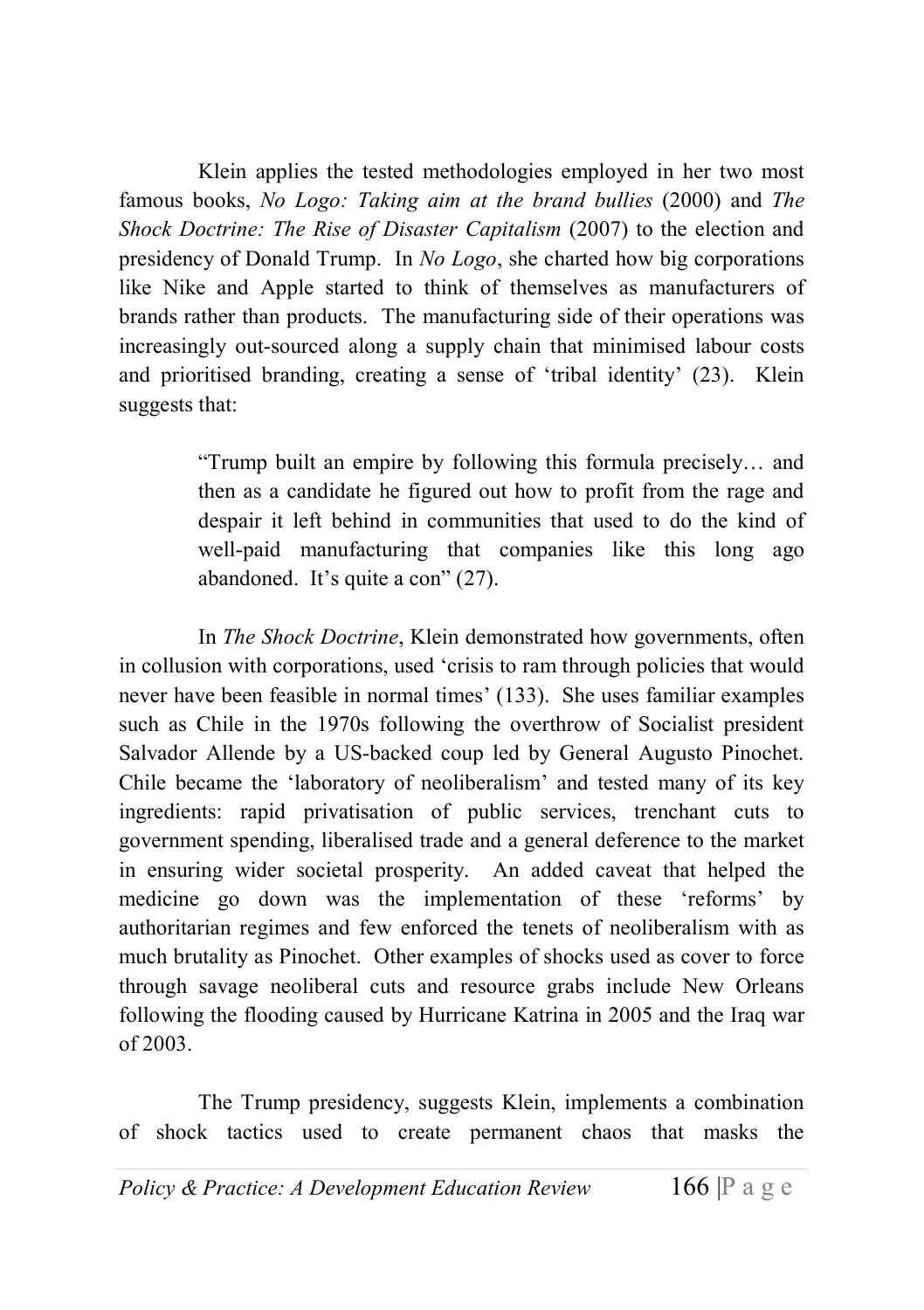Klein applies the tested methodologies employed in her two most famous books, No Logo: Taking aim at the brand bullies (2000) and The Shock Doctrine: The Rise of Disaster Capitalism (2007) to the election and presidency of Donald Trump. In No Logo, she charted how big corporations like Nike and Apple started to think of themselves as manufacturers of brands rather than products. The manufacturing side of their operations was increasingly out-sourced along a supply chain that minimised labour costs and prioritised branding, creating a sense of 'tribal identity' (23). Klein suggests that:

> "Trump built an empire by following this formula precisely… and then as a candidate he figured out how to profit from the rage and despair it left behind in communities that used to do the kind of well-paid manufacturing that companies like this long ago abandoned. It's quite a con" (27).

In The Shock Doctrine, Klein demonstrated how governments, often in collusion with corporations, used 'crisis to ram through policies that would never have been feasible in normal times' (133). She uses familiar examples such as Chile in the 1970s following the overthrow of Socialist president Salvador Allende by a US-backed coup led by General Augusto Pinochet. Chile became the 'laboratory of neoliberalism' and tested many of its key ingredients: rapid privatisation of public services, trenchant cuts to government spending, liberalised trade and a general deference to the market in ensuring wider societal prosperity. An added caveat that helped the medicine go down was the implementation of these 'reforms' by authoritarian regimes and few enforced the tenets of neoliberalism with as much brutality as Pinochet. Other examples of shocks used as cover to force through savage neoliberal cuts and resource grabs include New Orleans following the flooding caused by Hurricane Katrina in 2005 and the Iraq war of 2003.

The Trump presidency, suggests Klein, implements a combination of shock tactics used to create permanent chaos that masks the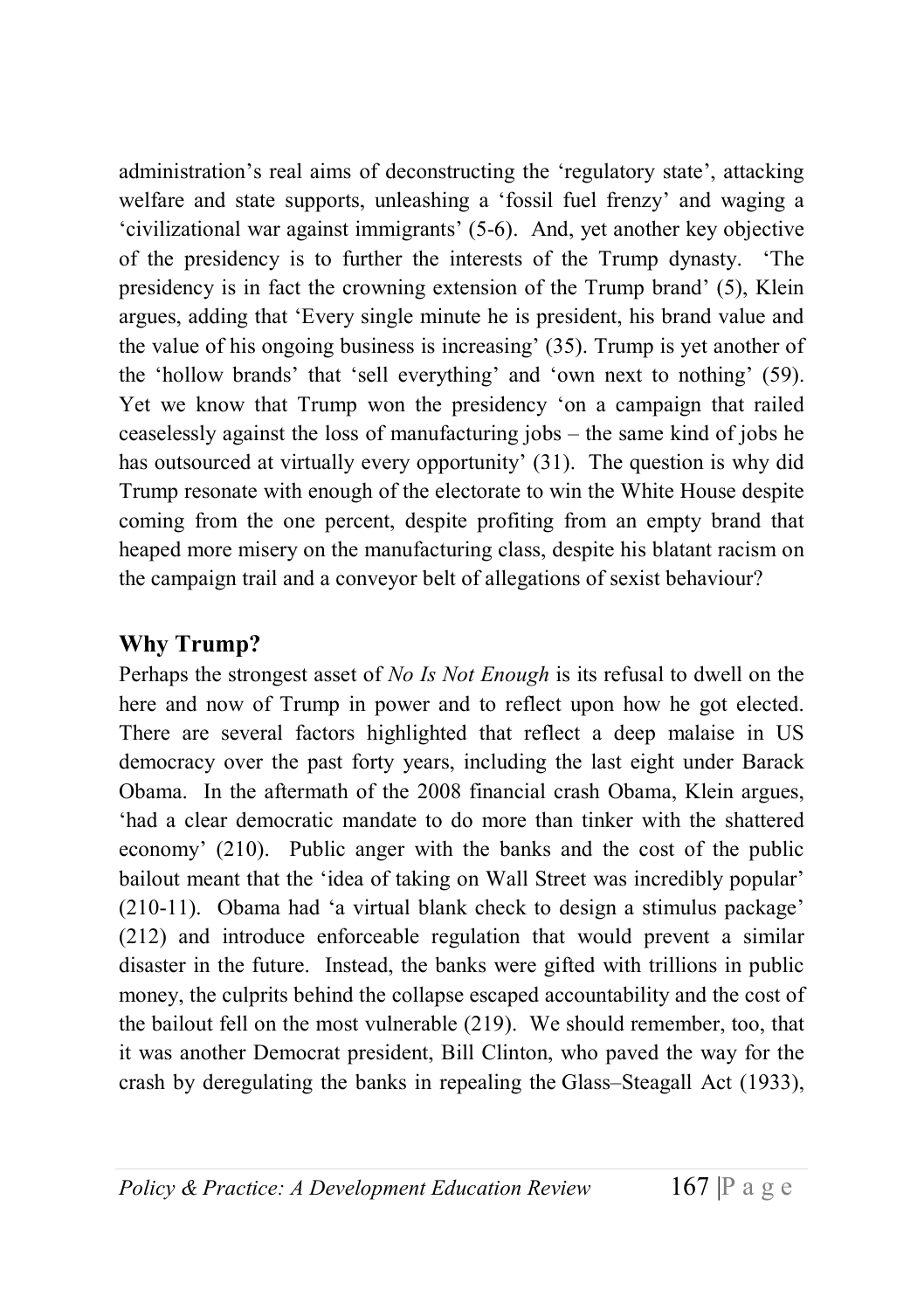administration's real aims of deconstructing the 'regulatory state', attacking welfare and state supports, unleashing a 'fossil fuel frenzy' and waging a 'civilizational war against immigrants' (5-6). And, yet another key objective of the presidency is to further the interests of the Trump dynasty. 'The presidency is in fact the crowning extension of the Trump brand' (5), Klein argues, adding that 'Every single minute he is president, his brand value and the value of his ongoing business is increasing' (35). Trump is yet another of the 'hollow brands' that 'sell everything' and 'own next to nothing' (59). Yet we know that Trump won the presidency 'on a campaign that railed ceaselessly against the loss of manufacturing jobs – the same kind of jobs he has outsourced at virtually every opportunity' (31). The question is why did Trump resonate with enough of the electorate to win the White House despite coming from the one percent, despite profiting from an empty brand that heaped more misery on the manufacturing class, despite his blatant racism on the campaign trail and a conveyor belt of allegations of sexist behaviour?

## Why Trump?

Perhaps the strongest asset of No Is Not Enough is its refusal to dwell on the here and now of Trump in power and to reflect upon how he got elected. There are several factors highlighted that reflect a deep malaise in US democracy over the past forty years, including the last eight under Barack Obama. In the aftermath of the 2008 financial crash Obama, Klein argues, 'had a clear democratic mandate to do more than tinker with the shattered economy' (210). Public anger with the banks and the cost of the public bailout meant that the 'idea of taking on Wall Street was incredibly popular' (210-11). Obama had 'a virtual blank check to design a stimulus package' (212) and introduce enforceable regulation that would prevent a similar disaster in the future. Instead, the banks were gifted with trillions in public money, the culprits behind the collapse escaped accountability and the cost of the bailout fell on the most vulnerable (219). We should remember, too, that it was another Democrat president, Bill Clinton, who paved the way for the crash by deregulating the banks in repealing the Glass–Steagall Act (1933),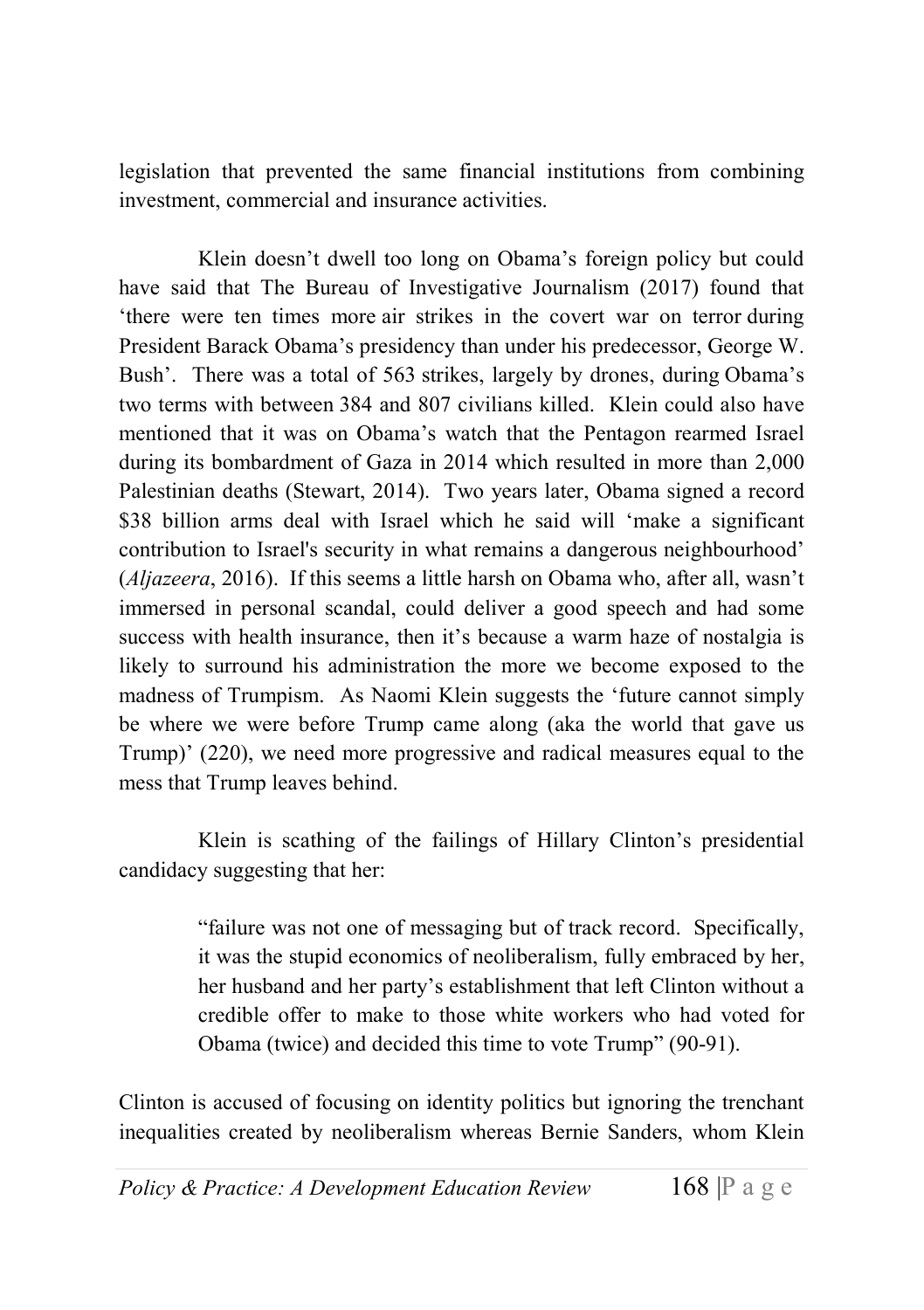legislation that prevented the same financial institutions from combining investment, commercial and insurance activities.

Klein doesn't dwell too long on Obama's foreign policy but could have said that The Bureau of Investigative Journalism (2017) found that 'there were ten times more air strikes in the covert war on terror during President Barack Obama's presidency than under his predecessor, George W. Bush'. There was a total of 563 strikes, largely by drones, during Obama's two terms with between 384 and 807 civilians killed. Klein could also have mentioned that it was on Obama's watch that the Pentagon rearmed Israel during its bombardment of Gaza in 2014 which resulted in more than 2,000 Palestinian deaths (Stewart, 2014). Two years later, Obama signed a record \$38 billion arms deal with Israel which he said will 'make a significant contribution to Israel's security in what remains a dangerous neighbourhood' (Aljazeera, 2016). If this seems a little harsh on Obama who, after all, wasn't immersed in personal scandal, could deliver a good speech and had some success with health insurance, then it's because a warm haze of nostalgia is likely to surround his administration the more we become exposed to the madness of Trumpism. As Naomi Klein suggests the 'future cannot simply be where we were before Trump came along (aka the world that gave us Trump)' (220), we need more progressive and radical measures equal to the mess that Trump leaves behind.

Klein is scathing of the failings of Hillary Clinton's presidential candidacy suggesting that her:

> "failure was not one of messaging but of track record. Specifically, it was the stupid economics of neoliberalism, fully embraced by her, her husband and her party's establishment that left Clinton without a credible offer to make to those white workers who had voted for Obama (twice) and decided this time to vote Trump" (90-91).

Clinton is accused of focusing on identity politics but ignoring the trenchant inequalities created by neoliberalism whereas Bernie Sanders, whom Klein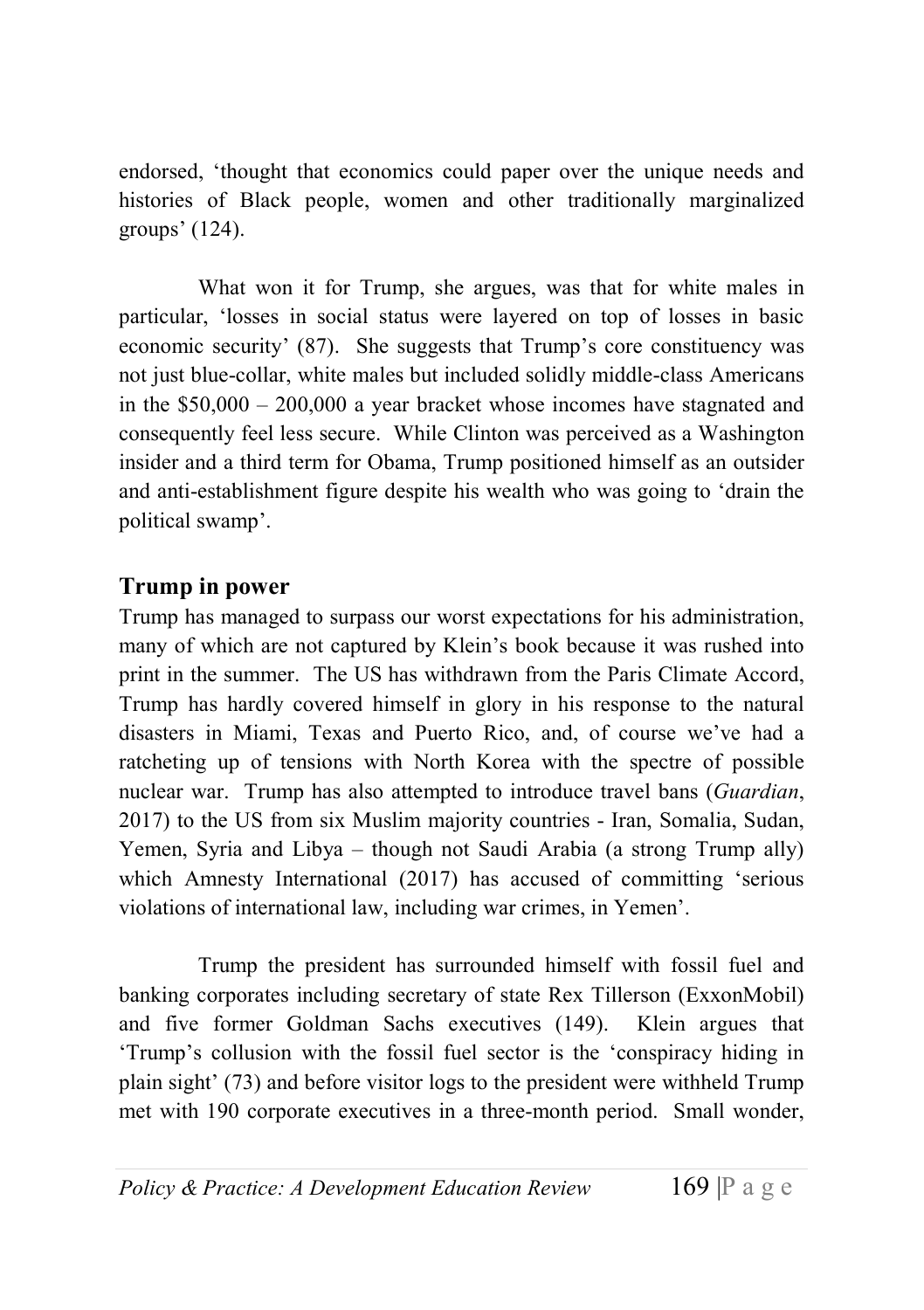endorsed, 'thought that economics could paper over the unique needs and histories of Black people, women and other traditionally marginalized groups' (124).

What won it for Trump, she argues, was that for white males in particular, 'losses in social status were layered on top of losses in basic economic security' (87). She suggests that Trump's core constituency was not just blue-collar, white males but included solidly middle-class Americans in the \$50,000 – 200,000 a year bracket whose incomes have stagnated and consequently feel less secure. While Clinton was perceived as a Washington insider and a third term for Obama, Trump positioned himself as an outsider and anti-establishment figure despite his wealth who was going to 'drain the political swamp'.

### Trump in power

Trump has managed to surpass our worst expectations for his administration, many of which are not captured by Klein's book because it was rushed into print in the summer. The US has withdrawn from the Paris Climate Accord, Trump has hardly covered himself in glory in his response to the natural disasters in Miami, Texas and Puerto Rico, and, of course we've had a ratcheting up of tensions with North Korea with the spectre of possible nuclear war. Trump has also attempted to introduce travel bans (Guardian, 2017) to the US from six Muslim majority countries - Iran, Somalia, Sudan, Yemen, Syria and Libya – though not Saudi Arabia (a strong Trump ally) which Amnesty International (2017) has accused of committing 'serious violations of international law, including war crimes, in Yemen'.

Trump the president has surrounded himself with fossil fuel and banking corporates including secretary of state Rex Tillerson (ExxonMobil) and five former Goldman Sachs executives (149). Klein argues that 'Trump's collusion with the fossil fuel sector is the 'conspiracy hiding in plain sight' (73) and before visitor logs to the president were withheld Trump met with 190 corporate executives in a three-month period. Small wonder,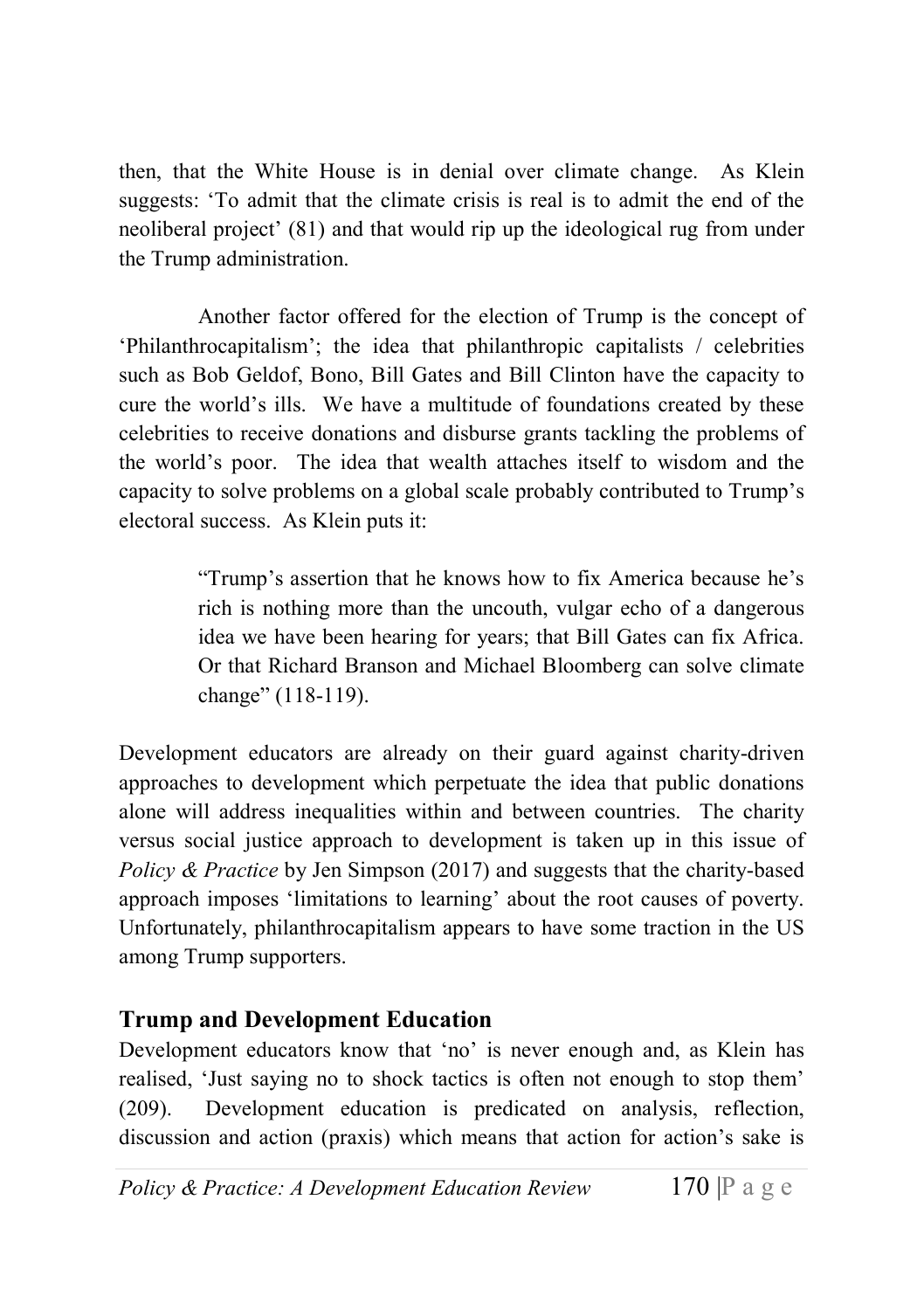then, that the White House is in denial over climate change. As Klein suggests: 'To admit that the climate crisis is real is to admit the end of the neoliberal project' (81) and that would rip up the ideological rug from under the Trump administration.

Another factor offered for the election of Trump is the concept of 'Philanthrocapitalism'; the idea that philanthropic capitalists / celebrities such as Bob Geldof, Bono, Bill Gates and Bill Clinton have the capacity to cure the world's ills. We have a multitude of foundations created by these celebrities to receive donations and disburse grants tackling the problems of the world's poor. The idea that wealth attaches itself to wisdom and the capacity to solve problems on a global scale probably contributed to Trump's electoral success. As Klein puts it:

> "Trump's assertion that he knows how to fix America because he's rich is nothing more than the uncouth, vulgar echo of a dangerous idea we have been hearing for years; that Bill Gates can fix Africa. Or that Richard Branson and Michael Bloomberg can solve climate change" (118-119).

Development educators are already on their guard against charity-driven approaches to development which perpetuate the idea that public donations alone will address inequalities within and between countries. The charity versus social justice approach to development is taken up in this issue of Policy  $\&$  Practice by Jen Simpson (2017) and suggests that the charity-based approach imposes 'limitations to learning' about the root causes of poverty. Unfortunately, philanthrocapitalism appears to have some traction in the US among Trump supporters.

#### Trump and Development Education

Development educators know that 'no' is never enough and, as Klein has realised, 'Just saying no to shock tactics is often not enough to stop them' (209). Development education is predicated on analysis, reflection, discussion and action (praxis) which means that action for action's sake is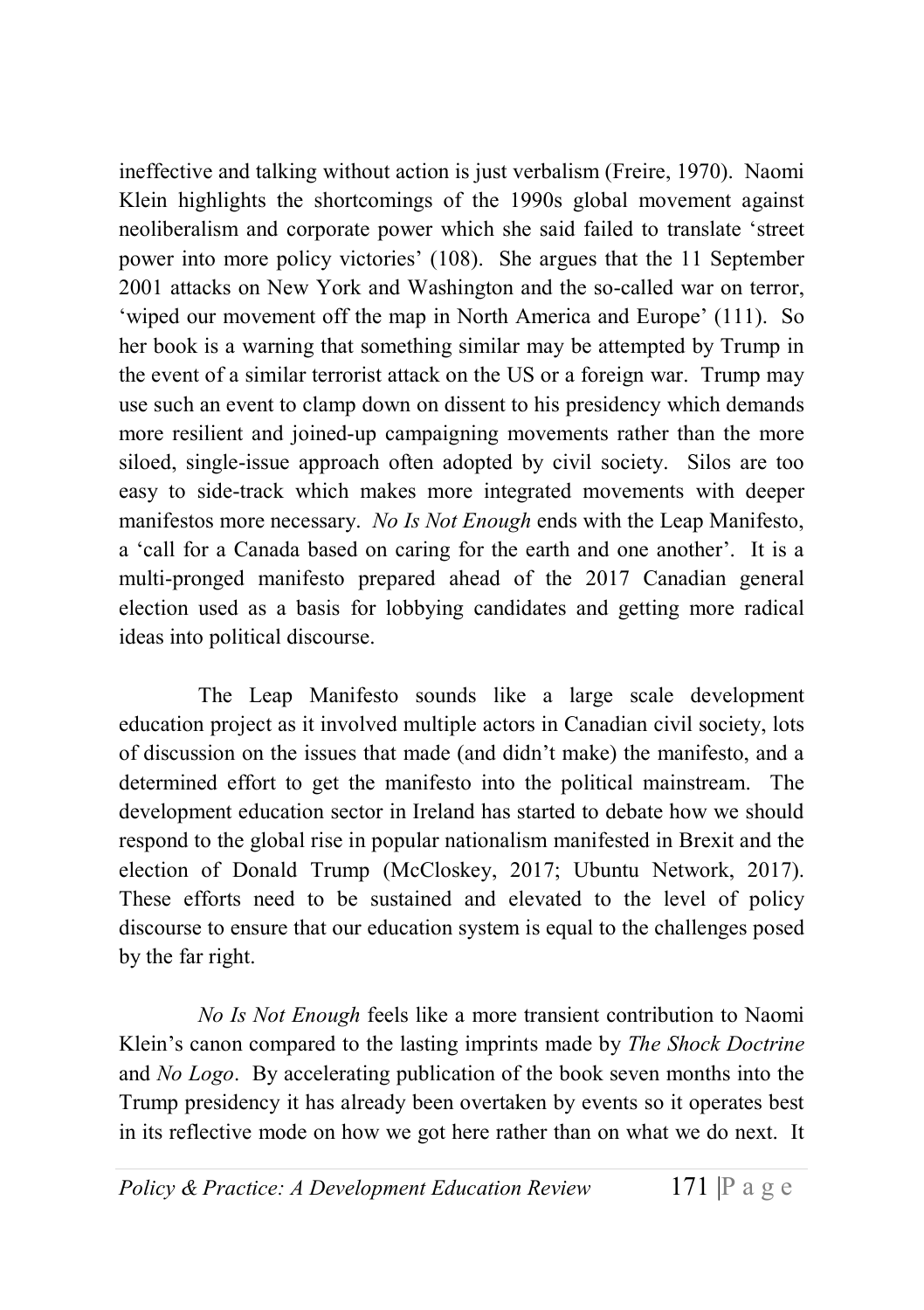ineffective and talking without action is just verbalism (Freire, 1970). Naomi Klein highlights the shortcomings of the 1990s global movement against neoliberalism and corporate power which she said failed to translate 'street power into more policy victories' (108). She argues that the 11 September 2001 attacks on New York and Washington and the so-called war on terror, 'wiped our movement off the map in North America and Europe' (111). So her book is a warning that something similar may be attempted by Trump in the event of a similar terrorist attack on the US or a foreign war. Trump may use such an event to clamp down on dissent to his presidency which demands more resilient and joined-up campaigning movements rather than the more siloed, single-issue approach often adopted by civil society. Silos are too easy to side-track which makes more integrated movements with deeper manifestos more necessary. No Is Not Enough ends with the Leap Manifesto, a 'call for a Canada based on caring for the earth and one another'. It is a multi-pronged manifesto prepared ahead of the 2017 Canadian general election used as a basis for lobbying candidates and getting more radical ideas into political discourse.

The Leap Manifesto sounds like a large scale development education project as it involved multiple actors in Canadian civil society, lots of discussion on the issues that made (and didn't make) the manifesto, and a determined effort to get the manifesto into the political mainstream. The development education sector in Ireland has started to debate how we should respond to the global rise in popular nationalism manifested in Brexit and the election of Donald Trump (McCloskey, 2017; Ubuntu Network, 2017). These efforts need to be sustained and elevated to the level of policy discourse to ensure that our education system is equal to the challenges posed by the far right.

No Is Not Enough feels like a more transient contribution to Naomi Klein's canon compared to the lasting imprints made by *The Shock Doctrine* and No Logo. By accelerating publication of the book seven months into the Trump presidency it has already been overtaken by events so it operates best in its reflective mode on how we got here rather than on what we do next. It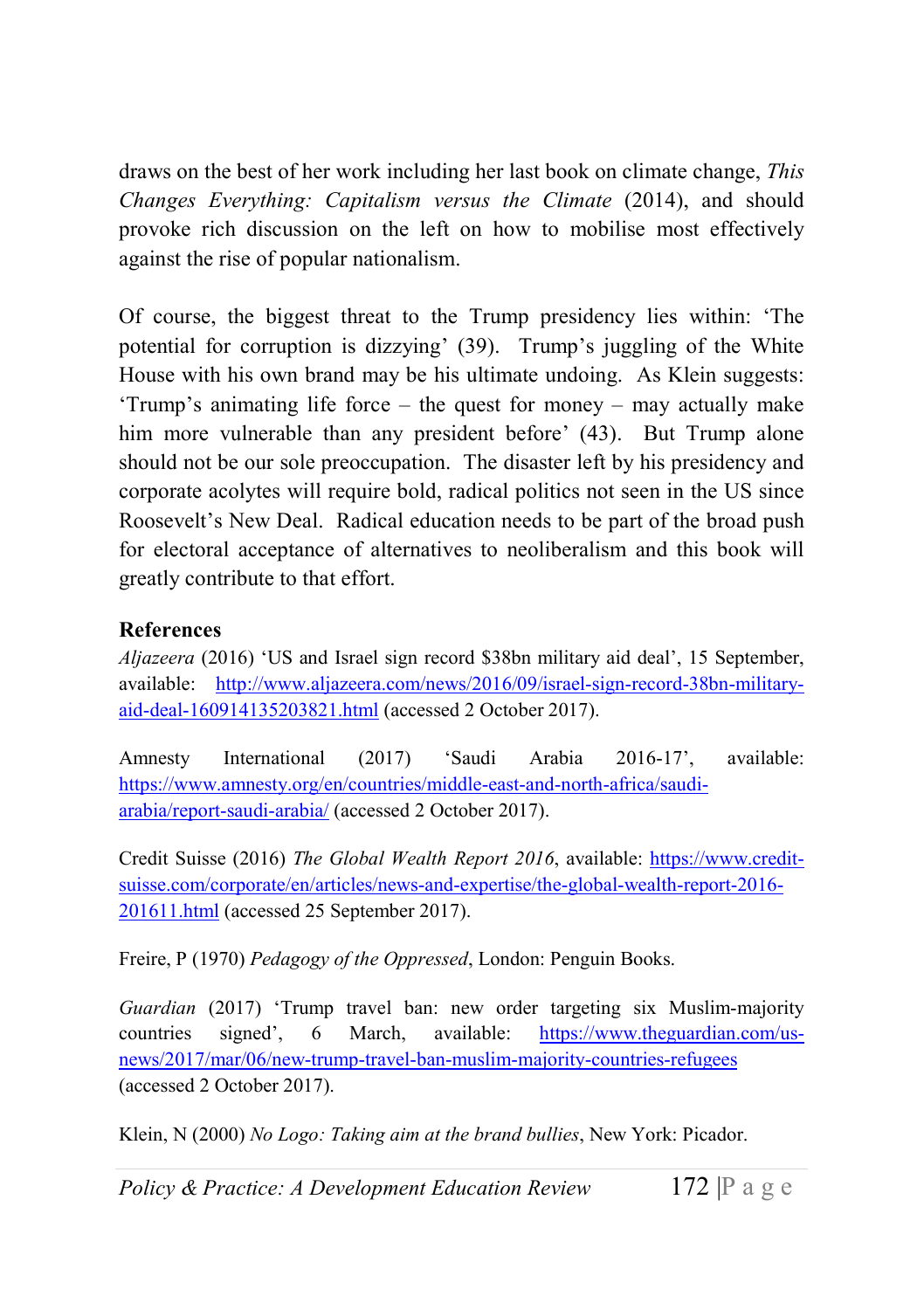draws on the best of her work including her last book on climate change, This Changes Everything: Capitalism versus the Climate (2014), and should provoke rich discussion on the left on how to mobilise most effectively against the rise of popular nationalism.

Of course, the biggest threat to the Trump presidency lies within: 'The potential for corruption is dizzying' (39). Trump's juggling of the White House with his own brand may be his ultimate undoing. As Klein suggests: 'Trump's animating life force – the quest for money – may actually make him more vulnerable than any president before' (43). But Trump alone should not be our sole preoccupation. The disaster left by his presidency and corporate acolytes will require bold, radical politics not seen in the US since Roosevelt's New Deal. Radical education needs to be part of the broad push for electoral acceptance of alternatives to neoliberalism and this book will greatly contribute to that effort.

#### References

Aljazeera (2016) 'US and Israel sign record \$38bn military aid deal', 15 September, available: http://www.aljazeera.com/news/2016/09/israel-sign-record-38bn-militaryaid-deal-160914135203821.html (accessed 2 October 2017).

Amnesty International (2017) 'Saudi Arabia 2016-17', available: https://www.amnesty.org/en/countries/middle-east-and-north-africa/saudiarabia/report-saudi-arabia/ (accessed 2 October 2017).

Credit Suisse (2016) The Global Wealth Report 2016, available: https://www.creditsuisse.com/corporate/en/articles/news-and-expertise/the-global-wealth-report-2016- 201611.html (accessed 25 September 2017).

Freire, P (1970) Pedagogy of the Oppressed, London: Penguin Books.

Guardian (2017) 'Trump travel ban: new order targeting six Muslim-majority countries signed', 6 March, available: https://www.theguardian.com/usnews/2017/mar/06/new-trump-travel-ban-muslim-majority-countries-refugees (accessed 2 October 2017).

Klein, N (2000) No Logo: Taking aim at the brand bullies, New York: Picador.

Policy & Practice: A Development Education Review 172  $\mathbb{P}$  a g e